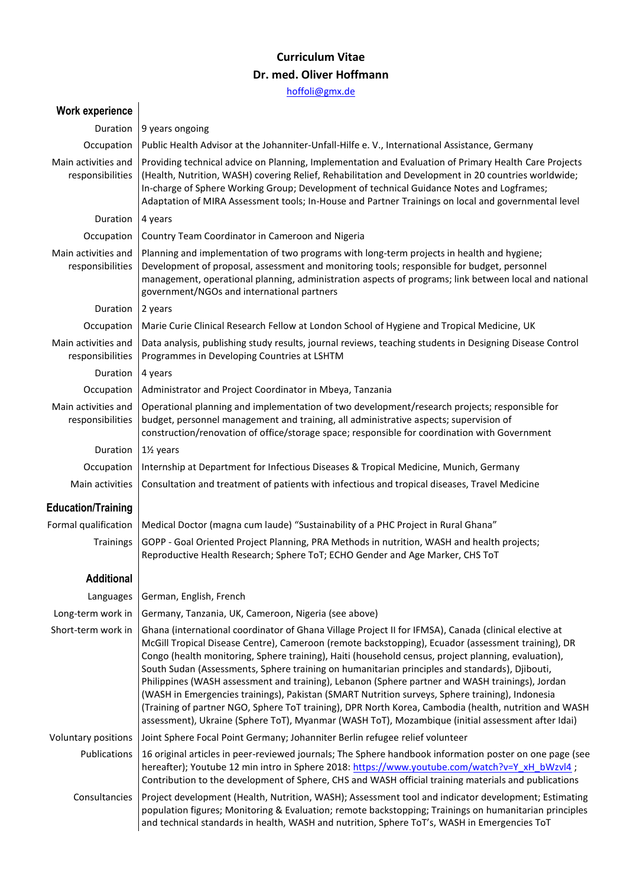## **Curriculum Vitae Dr. med. Oliver Hoffmann**

[hoffoli@gmx.de](mailto:hoffoli@gmx.de)

| <b>Work experience</b>                  |                                                                                                                                                                                                                                                                                                                                                                                                                                                                                                                                                                                                                                                                                                                                                                                                                                          |  |  |  |
|-----------------------------------------|------------------------------------------------------------------------------------------------------------------------------------------------------------------------------------------------------------------------------------------------------------------------------------------------------------------------------------------------------------------------------------------------------------------------------------------------------------------------------------------------------------------------------------------------------------------------------------------------------------------------------------------------------------------------------------------------------------------------------------------------------------------------------------------------------------------------------------------|--|--|--|
| Duration                                | 9 years ongoing                                                                                                                                                                                                                                                                                                                                                                                                                                                                                                                                                                                                                                                                                                                                                                                                                          |  |  |  |
| Occupation                              | Public Health Advisor at the Johanniter-Unfall-Hilfe e. V., International Assistance, Germany                                                                                                                                                                                                                                                                                                                                                                                                                                                                                                                                                                                                                                                                                                                                            |  |  |  |
| Main activities and<br>responsibilities | Providing technical advice on Planning, Implementation and Evaluation of Primary Health Care Projects<br>(Health, Nutrition, WASH) covering Relief, Rehabilitation and Development in 20 countries worldwide;<br>In-charge of Sphere Working Group; Development of technical Guidance Notes and Logframes;<br>Adaptation of MIRA Assessment tools; In-House and Partner Trainings on local and governmental level                                                                                                                                                                                                                                                                                                                                                                                                                        |  |  |  |
| Duration                                | 4 years                                                                                                                                                                                                                                                                                                                                                                                                                                                                                                                                                                                                                                                                                                                                                                                                                                  |  |  |  |
| Occupation                              | Country Team Coordinator in Cameroon and Nigeria                                                                                                                                                                                                                                                                                                                                                                                                                                                                                                                                                                                                                                                                                                                                                                                         |  |  |  |
| Main activities and<br>responsibilities | Planning and implementation of two programs with long-term projects in health and hygiene;<br>Development of proposal, assessment and monitoring tools; responsible for budget, personnel<br>management, operational planning, administration aspects of programs; link between local and national<br>government/NGOs and international partners                                                                                                                                                                                                                                                                                                                                                                                                                                                                                         |  |  |  |
| Duration                                | 2 years                                                                                                                                                                                                                                                                                                                                                                                                                                                                                                                                                                                                                                                                                                                                                                                                                                  |  |  |  |
| Occupation                              | Marie Curie Clinical Research Fellow at London School of Hygiene and Tropical Medicine, UK                                                                                                                                                                                                                                                                                                                                                                                                                                                                                                                                                                                                                                                                                                                                               |  |  |  |
| Main activities and<br>responsibilities | Data analysis, publishing study results, journal reviews, teaching students in Designing Disease Control<br>Programmes in Developing Countries at LSHTM                                                                                                                                                                                                                                                                                                                                                                                                                                                                                                                                                                                                                                                                                  |  |  |  |
| Duration                                | 4 years                                                                                                                                                                                                                                                                                                                                                                                                                                                                                                                                                                                                                                                                                                                                                                                                                                  |  |  |  |
| Occupation                              | Administrator and Project Coordinator in Mbeya, Tanzania                                                                                                                                                                                                                                                                                                                                                                                                                                                                                                                                                                                                                                                                                                                                                                                 |  |  |  |
| Main activities and<br>responsibilities | Operational planning and implementation of two development/research projects; responsible for<br>budget, personnel management and training, all administrative aspects; supervision of<br>construction/renovation of office/storage space; responsible for coordination with Government                                                                                                                                                                                                                                                                                                                                                                                                                                                                                                                                                  |  |  |  |
| Duration                                | 11/ <sub>2</sub> years                                                                                                                                                                                                                                                                                                                                                                                                                                                                                                                                                                                                                                                                                                                                                                                                                   |  |  |  |
| Occupation                              | Internship at Department for Infectious Diseases & Tropical Medicine, Munich, Germany                                                                                                                                                                                                                                                                                                                                                                                                                                                                                                                                                                                                                                                                                                                                                    |  |  |  |
| Main activities                         | Consultation and treatment of patients with infectious and tropical diseases, Travel Medicine                                                                                                                                                                                                                                                                                                                                                                                                                                                                                                                                                                                                                                                                                                                                            |  |  |  |
| <b>Education/Training</b>               |                                                                                                                                                                                                                                                                                                                                                                                                                                                                                                                                                                                                                                                                                                                                                                                                                                          |  |  |  |
| Formal qualification                    | Medical Doctor (magna cum laude) "Sustainability of a PHC Project in Rural Ghana"                                                                                                                                                                                                                                                                                                                                                                                                                                                                                                                                                                                                                                                                                                                                                        |  |  |  |
| Trainings                               | GOPP - Goal Oriented Project Planning, PRA Methods in nutrition, WASH and health projects;<br>Reproductive Health Research; Sphere ToT; ECHO Gender and Age Marker, CHS ToT                                                                                                                                                                                                                                                                                                                                                                                                                                                                                                                                                                                                                                                              |  |  |  |
| <b>Additional</b>                       |                                                                                                                                                                                                                                                                                                                                                                                                                                                                                                                                                                                                                                                                                                                                                                                                                                          |  |  |  |
| Languages                               | German, English, French                                                                                                                                                                                                                                                                                                                                                                                                                                                                                                                                                                                                                                                                                                                                                                                                                  |  |  |  |
| Long-term work in                       | Germany, Tanzania, UK, Cameroon, Nigeria (see above)                                                                                                                                                                                                                                                                                                                                                                                                                                                                                                                                                                                                                                                                                                                                                                                     |  |  |  |
| Short-term work in                      | Ghana (international coordinator of Ghana Village Project II for IFMSA), Canada (clinical elective at<br>McGill Tropical Disease Centre), Cameroon (remote backstopping), Ecuador (assessment training), DR<br>Congo (health monitoring, Sphere training), Haiti (household census, project planning, evaluation),<br>South Sudan (Assessments, Sphere training on humanitarian principles and standards), Djibouti,<br>Philippines (WASH assessment and training), Lebanon (Sphere partner and WASH trainings), Jordan<br>(WASH in Emergencies trainings), Pakistan (SMART Nutrition surveys, Sphere training), Indonesia<br>(Training of partner NGO, Sphere ToT training), DPR North Korea, Cambodia (health, nutrition and WASH<br>assessment), Ukraine (Sphere ToT), Myanmar (WASH ToT), Mozambique (initial assessment after Idai) |  |  |  |
| Voluntary positions                     | Joint Sphere Focal Point Germany; Johanniter Berlin refugee relief volunteer                                                                                                                                                                                                                                                                                                                                                                                                                                                                                                                                                                                                                                                                                                                                                             |  |  |  |
| Publications                            | 16 original articles in peer-reviewed journals; The Sphere handbook information poster on one page (see<br>hereafter); Youtube 12 min intro in Sphere 2018: https://www.youtube.com/watch?v=Y_xH_bWzvl4;<br>Contribution to the development of Sphere, CHS and WASH official training materials and publications                                                                                                                                                                                                                                                                                                                                                                                                                                                                                                                         |  |  |  |
| Consultancies                           | Project development (Health, Nutrition, WASH); Assessment tool and indicator development; Estimating<br>population figures; Monitoring & Evaluation; remote backstopping; Trainings on humanitarian principles<br>and technical standards in health, WASH and nutrition, Sphere ToT's, WASH in Emergencies ToT                                                                                                                                                                                                                                                                                                                                                                                                                                                                                                                           |  |  |  |